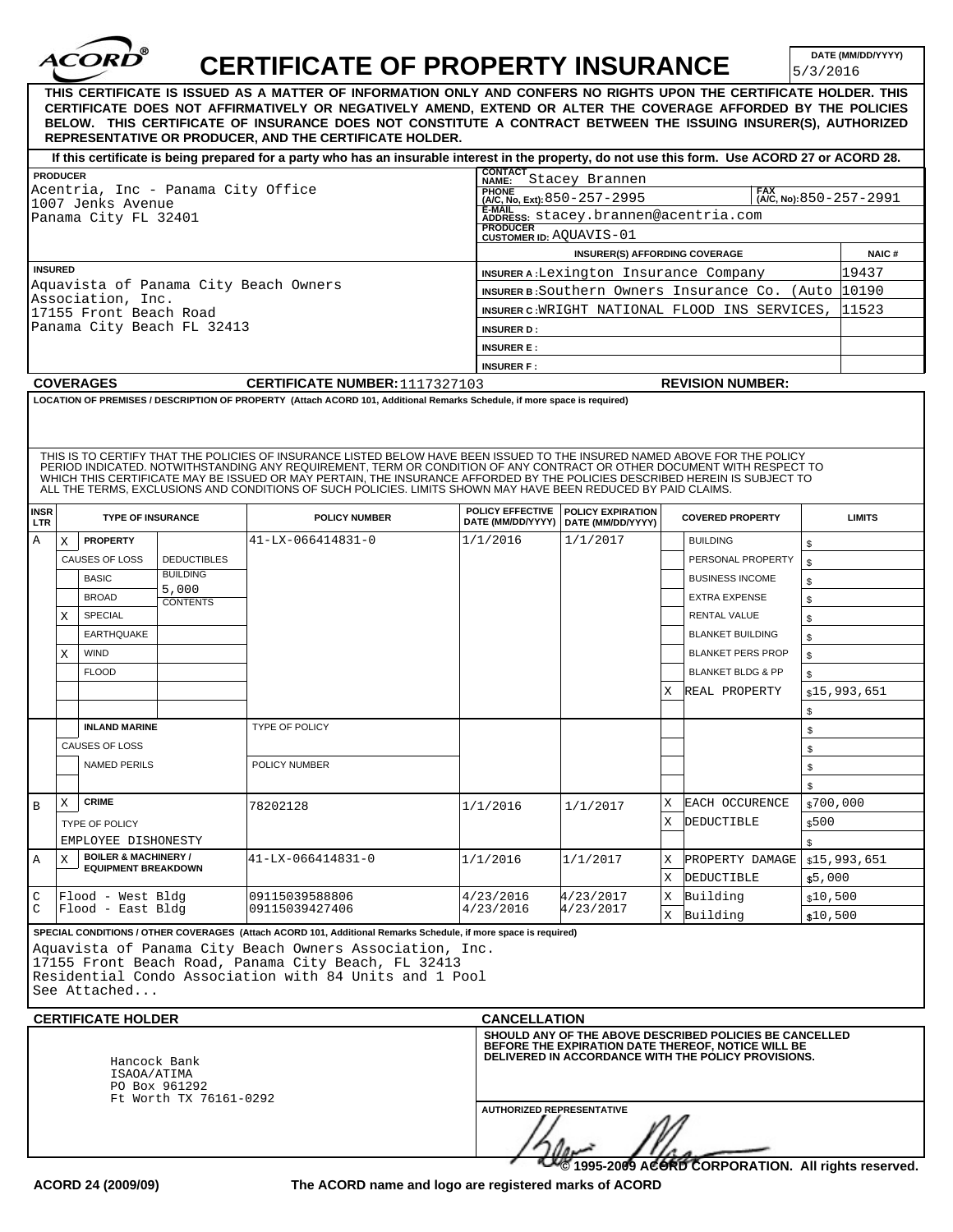|                           |                 | <b>ACORI</b>                                             |                                    | <b>CERTIFICATE OF PROPERTY INSURANCE</b><br>THIS CERTIFICATE IS ISSUED AS A MATTER OF INFORMATION ONLY AND CONFERS NO RIGHTS UPON THE CERTIFICATE HOLDER. THIS                                                                                                                                                                                                                                                                                                                           |                                                             |                                                                                                   |        |                                                                                                                                                                      | 5/3/2016           | DATE (MM/DD/YYYY) |  |  |  |
|---------------------------|-----------------|----------------------------------------------------------|------------------------------------|------------------------------------------------------------------------------------------------------------------------------------------------------------------------------------------------------------------------------------------------------------------------------------------------------------------------------------------------------------------------------------------------------------------------------------------------------------------------------------------|-------------------------------------------------------------|---------------------------------------------------------------------------------------------------|--------|----------------------------------------------------------------------------------------------------------------------------------------------------------------------|--------------------|-------------------|--|--|--|
|                           |                 |                                                          |                                    | CERTIFICATE DOES NOT AFFIRMATIVELY OR NEGATIVELY AMEND, EXTEND OR ALTER THE COVERAGE AFFORDED BY THE POLICIES<br>BELOW. THIS CERTIFICATE OF INSURANCE DOES NOT CONSTITUTE A CONTRACT BETWEEN THE ISSUING INSURER(S). AUTHORIZED<br>REPRESENTATIVE OR PRODUCER, AND THE CERTIFICATE HOLDER.                                                                                                                                                                                               |                                                             |                                                                                                   |        |                                                                                                                                                                      |                    |                   |  |  |  |
|                           |                 |                                                          |                                    | If this certificate is being prepared for a party who has an insurable interest in the property, do not use this form. Use ACORD 27 or ACORD 28.                                                                                                                                                                                                                                                                                                                                         |                                                             |                                                                                                   |        |                                                                                                                                                                      |                    |                   |  |  |  |
|                           | <b>PRODUCER</b> |                                                          |                                    |                                                                                                                                                                                                                                                                                                                                                                                                                                                                                          |                                                             | CONTACT<br>NAME: Stacey Brannen                                                                   |        |                                                                                                                                                                      |                    |                   |  |  |  |
|                           |                 | 1007 Jenks Avenue                                        | Acentria, Inc - Panama City Office |                                                                                                                                                                                                                                                                                                                                                                                                                                                                                          |                                                             | <b>PHONE</b><br><b>FAX</b><br>(A/C, No, Ext): $850 - 257 - 2995$<br>$(A/C, No): 850 - 257 - 2991$ |        |                                                                                                                                                                      |                    |                   |  |  |  |
|                           |                 | Panama City FL 32401                                     |                                    |                                                                                                                                                                                                                                                                                                                                                                                                                                                                                          |                                                             | E-MAIL Transport of E-MAIL ADDRESS: Stacey.brannen@acentria.com                                   |        |                                                                                                                                                                      |                    |                   |  |  |  |
|                           |                 |                                                          |                                    |                                                                                                                                                                                                                                                                                                                                                                                                                                                                                          | <b>PRODUCER</b><br><b>CUSTOMER ID: AQUAVIS-01</b>           |                                                                                                   |        |                                                                                                                                                                      |                    |                   |  |  |  |
|                           |                 |                                                          |                                    |                                                                                                                                                                                                                                                                                                                                                                                                                                                                                          |                                                             | <b>INSURER(S) AFFORDING COVERAGE</b>                                                              |        |                                                                                                                                                                      |                    | <b>NAIC#</b>      |  |  |  |
|                           | <b>INSURED</b>  |                                                          |                                    |                                                                                                                                                                                                                                                                                                                                                                                                                                                                                          | 19437<br><b>INSURER A:</b> Lexington Insurance Company      |                                                                                                   |        |                                                                                                                                                                      |                    |                   |  |  |  |
|                           |                 | Association, Inc.                                        |                                    | Aquavista of Panama City Beach Owners                                                                                                                                                                                                                                                                                                                                                                                                                                                    | <b>INSURER B:</b> Southern Owners Insurance Co. (Auto 10190 |                                                                                                   |        |                                                                                                                                                                      |                    |                   |  |  |  |
|                           |                 | 17155 Front Beach Road                                   |                                    |                                                                                                                                                                                                                                                                                                                                                                                                                                                                                          | INSURER C: WRIGHT NATIONAL FLOOD INS SERVICES,<br>11523     |                                                                                                   |        |                                                                                                                                                                      |                    |                   |  |  |  |
|                           |                 |                                                          | Panama City Beach FL 32413         |                                                                                                                                                                                                                                                                                                                                                                                                                                                                                          | <b>INSURER D:</b>                                           |                                                                                                   |        |                                                                                                                                                                      |                    |                   |  |  |  |
|                           |                 |                                                          |                                    |                                                                                                                                                                                                                                                                                                                                                                                                                                                                                          | <b>INSURER E:</b>                                           |                                                                                                   |        |                                                                                                                                                                      |                    |                   |  |  |  |
|                           |                 |                                                          |                                    |                                                                                                                                                                                                                                                                                                                                                                                                                                                                                          | <b>INSURER F:</b>                                           |                                                                                                   |        |                                                                                                                                                                      |                    |                   |  |  |  |
|                           |                 | <b>COVERAGES</b>                                         |                                    | <b>CERTIFICATE NUMBER: 1117327103</b>                                                                                                                                                                                                                                                                                                                                                                                                                                                    |                                                             |                                                                                                   |        | <b>REVISION NUMBER:</b>                                                                                                                                              |                    |                   |  |  |  |
|                           |                 |                                                          |                                    | THIS IS TO CERTIFY THAT THE POLICIES OF INSURANCE LISTED BELOW HAVE BEEN ISSUED TO THE INSURED NAMED ABOVE FOR THE POLICY<br>PERIOD INDICATED. NOTWITHSTANDING ANY REQUIREMENT, TERM OR CONDITION OF ANY CONTRACT OR OTHER DOCUMENT WITH RESPECT TO<br>WHICH THIS CERTIFICATE MAY BE ISSUED OR MAY PERTAIN, THE INSURANCE AFFORDED BY THE POLICIES DESCRIBED HEREIN IS SUBJECT TO<br>ALL THE TERMS, EXCLUSIONS AND CONDITIONS OF SUCH POLICIES. LIMITS SHOWN MAY HAVE BEEN REDUCED BY PA |                                                             |                                                                                                   |        |                                                                                                                                                                      |                    |                   |  |  |  |
| <b>INSR</b><br><b>LTR</b> |                 | <b>TYPE OF INSURANCE</b>                                 |                                    | <b>POLICY NUMBER</b>                                                                                                                                                                                                                                                                                                                                                                                                                                                                     |                                                             | POLICY EFFECTIVE   POLICY EXPIRATION<br>DATE (MM/DD/YYYY)   DATE (MM/DD/YYYY)                     |        | <b>COVERED PROPERTY</b>                                                                                                                                              |                    | <b>LIMITS</b>     |  |  |  |
| Α                         | X               | <b>PROPERTY</b>                                          |                                    | 41-LX-066414831-0                                                                                                                                                                                                                                                                                                                                                                                                                                                                        | 1/1/2016                                                    | 1/1/2017                                                                                          |        | <b>BUILDING</b>                                                                                                                                                      |                    |                   |  |  |  |
|                           |                 | CAUSES OF LOSS                                           | <b>DEDUCTIBLES</b>                 |                                                                                                                                                                                                                                                                                                                                                                                                                                                                                          |                                                             |                                                                                                   |        | PERSONAL PROPERTY                                                                                                                                                    | \$<br>\$           |                   |  |  |  |
|                           |                 | <b>BASIC</b>                                             | <b>BUILDING</b>                    |                                                                                                                                                                                                                                                                                                                                                                                                                                                                                          |                                                             |                                                                                                   |        | <b>BUSINESS INCOME</b>                                                                                                                                               |                    |                   |  |  |  |
|                           |                 | <b>BROAD</b>                                             | 5,000                              |                                                                                                                                                                                                                                                                                                                                                                                                                                                                                          |                                                             |                                                                                                   |        | <b>EXTRA EXPENSE</b>                                                                                                                                                 | \$                 |                   |  |  |  |
|                           | X               | SPECIAL                                                  | <b>CONTENTS</b>                    |                                                                                                                                                                                                                                                                                                                                                                                                                                                                                          |                                                             |                                                                                                   |        | <b>RENTAL VALUE</b>                                                                                                                                                  | \$                 |                   |  |  |  |
|                           |                 | <b>EARTHQUAKE</b>                                        |                                    |                                                                                                                                                                                                                                                                                                                                                                                                                                                                                          |                                                             |                                                                                                   |        | <b>BLANKET BUILDING</b>                                                                                                                                              | \$                 |                   |  |  |  |
|                           |                 | <b>WIND</b>                                              |                                    |                                                                                                                                                                                                                                                                                                                                                                                                                                                                                          |                                                             |                                                                                                   |        | <b>BLANKET PERS PROP</b>                                                                                                                                             | \$                 |                   |  |  |  |
|                           | X               | <b>FLOOD</b>                                             |                                    |                                                                                                                                                                                                                                                                                                                                                                                                                                                                                          |                                                             |                                                                                                   |        | <b>BLANKET BLDG &amp; PP</b>                                                                                                                                         | \$                 |                   |  |  |  |
|                           |                 |                                                          |                                    |                                                                                                                                                                                                                                                                                                                                                                                                                                                                                          |                                                             |                                                                                                   |        |                                                                                                                                                                      | \$                 |                   |  |  |  |
|                           |                 |                                                          |                                    |                                                                                                                                                                                                                                                                                                                                                                                                                                                                                          |                                                             |                                                                                                   | X      | REAL PROPERTY                                                                                                                                                        |                    | \$15,993,651      |  |  |  |
|                           |                 | <b>INLAND MARINE</b>                                     |                                    | TYPE OF POLICY                                                                                                                                                                                                                                                                                                                                                                                                                                                                           |                                                             |                                                                                                   |        |                                                                                                                                                                      | \$                 |                   |  |  |  |
|                           |                 |                                                          |                                    |                                                                                                                                                                                                                                                                                                                                                                                                                                                                                          |                                                             |                                                                                                   |        |                                                                                                                                                                      | \$                 |                   |  |  |  |
|                           |                 | CAUSES OF LOSS<br><b>NAMED PERILS</b>                    |                                    | POLICY NUMBER                                                                                                                                                                                                                                                                                                                                                                                                                                                                            |                                                             |                                                                                                   |        |                                                                                                                                                                      | \$                 |                   |  |  |  |
|                           |                 |                                                          |                                    |                                                                                                                                                                                                                                                                                                                                                                                                                                                                                          |                                                             |                                                                                                   |        |                                                                                                                                                                      | \$                 |                   |  |  |  |
|                           |                 | <b>CRIME</b>                                             |                                    |                                                                                                                                                                                                                                                                                                                                                                                                                                                                                          |                                                             |                                                                                                   |        |                                                                                                                                                                      | \$                 |                   |  |  |  |
| В                         | X               |                                                          |                                    | 78202128                                                                                                                                                                                                                                                                                                                                                                                                                                                                                 | 1/1/2016                                                    | 1/1/2017                                                                                          | Χ<br>X | EACH OCCURENCE<br>DEDUCTIBLE                                                                                                                                         | \$700,000<br>\$500 |                   |  |  |  |
|                           |                 | <b>TYPE OF POLICY</b><br>EMPLOYEE DISHONESTY             |                                    |                                                                                                                                                                                                                                                                                                                                                                                                                                                                                          |                                                             |                                                                                                   |        |                                                                                                                                                                      |                    |                   |  |  |  |
| Α                         | X               | <b>BOILER &amp; MACHINERY /</b>                          |                                    | 41-LX-066414831-0                                                                                                                                                                                                                                                                                                                                                                                                                                                                        | 1/1/2016                                                    | 1/1/2017                                                                                          | X      | PROPERTY DAMAGE                                                                                                                                                      | \$                 | \$15,993,651      |  |  |  |
|                           |                 | <b>EQUIPMENT BREAKDOWN</b>                               |                                    |                                                                                                                                                                                                                                                                                                                                                                                                                                                                                          |                                                             |                                                                                                   | Χ      | DEDUCTIBLE                                                                                                                                                           | \$5,000            |                   |  |  |  |
| C                         |                 | Flood - West Bldg                                        |                                    | 09115039588806                                                                                                                                                                                                                                                                                                                                                                                                                                                                           | 4/23/2016                                                   | 4/23/2017                                                                                         | Χ      | Building                                                                                                                                                             | \$10,500           |                   |  |  |  |
| C                         |                 | Flood - East Bldg                                        |                                    | 09115039427406                                                                                                                                                                                                                                                                                                                                                                                                                                                                           | 4/23/2016                                                   | 4/23/2017                                                                                         | Χ      | Building                                                                                                                                                             | \$10,500           |                   |  |  |  |
|                           |                 | See Attached<br><b>CERTIFICATE HOLDER</b><br>ISAOA/ATIMA | Hancock Bank<br>PO Box 961292      | SPECIAL CONDITIONS / OTHER COVERAGES (Attach ACORD 101, Additional Remarks Schedule, if more space is required)<br>Aquavista of Panama City Beach Owners Association, Inc.<br>17155 Front Beach Road, Panama City Beach, FL 32413<br>Residential Condo Association with 84 Units and 1 Pool                                                                                                                                                                                              | <b>CANCELLATION</b>                                         |                                                                                                   |        | SHOULD ANY OF THE ABOVE DESCRIBED POLICIES BE CANCELLED<br>BEFORE THE EXPIRATION DATE THEREOF, NOTICE WILL BE<br>DELIVERED IN ACCORDANCE WITH THE POLICY PROVISIONS. |                    |                   |  |  |  |
|                           |                 |                                                          | Ft Worth TX 76161-0292             |                                                                                                                                                                                                                                                                                                                                                                                                                                                                                          | <b>AUTHORIZED REPRESENTATIVE</b>                            |                                                                                                   |        | @1995-2009 ACORD CORPORATION. All rights reserved.                                                                                                                   |                    |                   |  |  |  |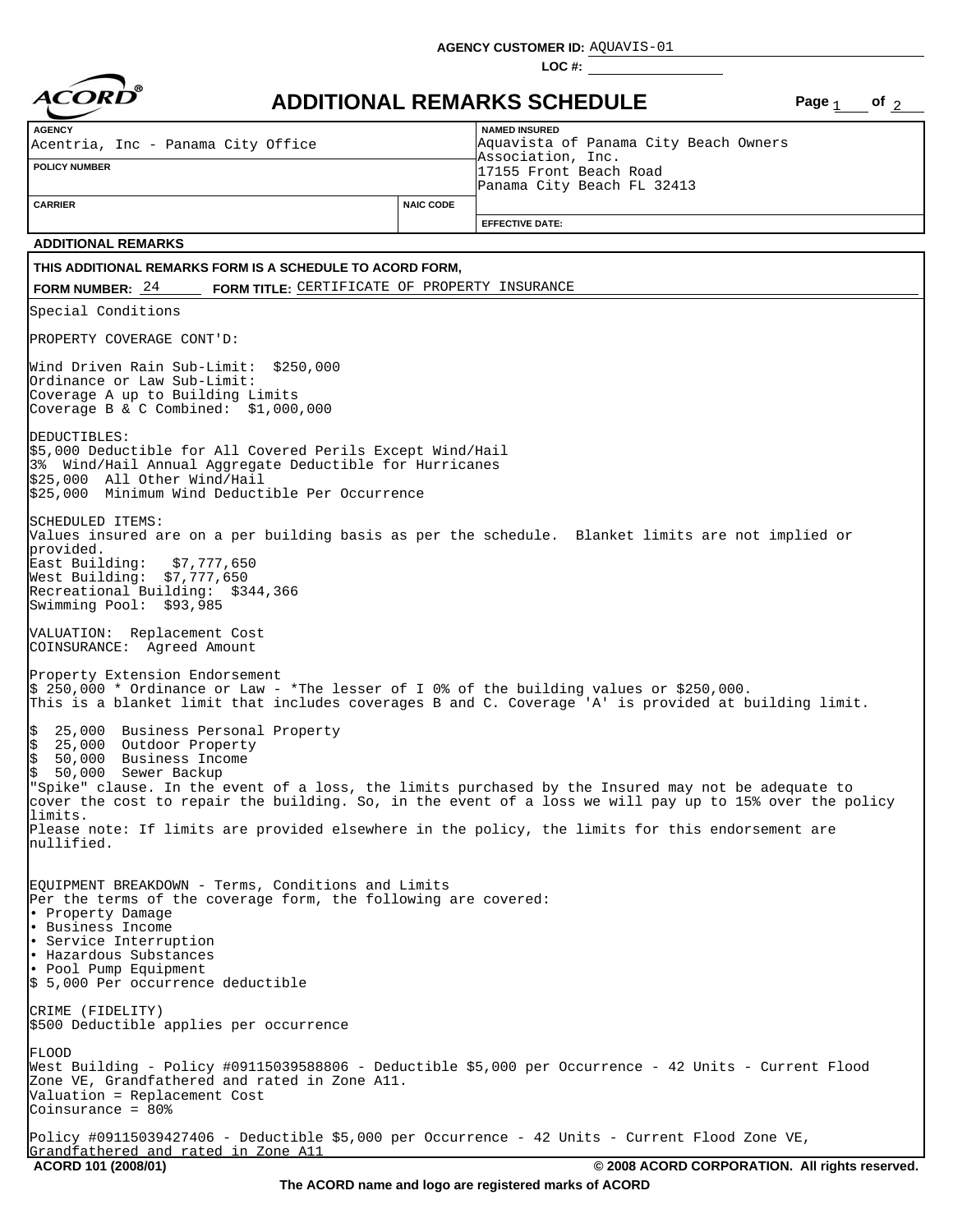**AGENCY CUSTOMER ID:** AQUAVIS-01

**LOC #:**



## **ADDITIONAL REMARKS SCHEDULE Page of**

Page  $_1$  of  $_2$ 

| <b>AGENCY</b><br>Acentria, Inc - Panama City Office                                                                                                                                                                                                                                          |                  | <b>NAMED INSURED</b><br>Aquavista of Panama City Beach Owners                                                                                                                                                                                                                                                     |  |  |  |  |  |
|----------------------------------------------------------------------------------------------------------------------------------------------------------------------------------------------------------------------------------------------------------------------------------------------|------------------|-------------------------------------------------------------------------------------------------------------------------------------------------------------------------------------------------------------------------------------------------------------------------------------------------------------------|--|--|--|--|--|
| <b>POLICY NUMBER</b>                                                                                                                                                                                                                                                                         |                  | Association, Inc.<br>17155 Front Beach Road<br>Panama City Beach FL 32413                                                                                                                                                                                                                                         |  |  |  |  |  |
| <b>CARRIER</b>                                                                                                                                                                                                                                                                               | <b>NAIC CODE</b> | <b>EFFECTIVE DATE:</b>                                                                                                                                                                                                                                                                                            |  |  |  |  |  |
| <b>ADDITIONAL REMARKS</b>                                                                                                                                                                                                                                                                    |                  |                                                                                                                                                                                                                                                                                                                   |  |  |  |  |  |
| THIS ADDITIONAL REMARKS FORM IS A SCHEDULE TO ACORD FORM,                                                                                                                                                                                                                                    |                  |                                                                                                                                                                                                                                                                                                                   |  |  |  |  |  |
| FORM TITLE: CERTIFICATE OF PROPERTY INSURANCE<br>FORM NUMBER: $24$                                                                                                                                                                                                                           |                  |                                                                                                                                                                                                                                                                                                                   |  |  |  |  |  |
| Special Conditions                                                                                                                                                                                                                                                                           |                  |                                                                                                                                                                                                                                                                                                                   |  |  |  |  |  |
| PROPERTY COVERAGE CONT'D:                                                                                                                                                                                                                                                                    |                  |                                                                                                                                                                                                                                                                                                                   |  |  |  |  |  |
| Wind Driven Rain Sub-Limit: \$250,000<br>Ordinance or Law Sub-Limit:<br>Coverage A up to Building Limits<br>Coverage B & C Combined: $$1,000,000$                                                                                                                                            |                  |                                                                                                                                                                                                                                                                                                                   |  |  |  |  |  |
| DEDUCTIBLES:<br>\$5,000 Deductible for All Covered Perils Except Wind/Hail<br>3% Wind/Hail Annual Aggregate Deductible for Hurricanes<br>$$25,000$ All Other Wind/Hail<br>\$25,000 Minimum Wind Deductible Per Occurrence                                                                    |                  |                                                                                                                                                                                                                                                                                                                   |  |  |  |  |  |
| SCHEDULED ITEMS:<br>Values insured are on a per building basis as per the schedule.  Blanket limits are not implied or<br>provided.<br>East Building:<br>\$7,777,650<br>West Building: $$7,777,650$<br>Recreational Building: \$344,366<br>Swimming Pool: \$93,985                           |                  |                                                                                                                                                                                                                                                                                                                   |  |  |  |  |  |
| VALUATION: Replacement Cost<br>COINSURANCE: Agreed Amount                                                                                                                                                                                                                                    |                  |                                                                                                                                                                                                                                                                                                                   |  |  |  |  |  |
| Property Extension Endorsement<br>$\frac{1}{5}$ 250,000 * Ordinance or Law - *The lesser of I 0% of the building values or \$250,000.<br>This is a blanket limit that includes coverages B and C. Coverage 'A' is provided at building limit.                                                |                  |                                                                                                                                                                                                                                                                                                                   |  |  |  |  |  |
| \$<br>25,000 Business Personal Property<br>$\frac{1}{2}$<br>25,000 Outdoor Property<br>50,000 Business Income<br>50,000 Sewer Backup<br>limits.<br>nullified.                                                                                                                                |                  | "Spike" clause. In the event of a loss, the limits purchased by the Insured may not be adequate to<br>cover the cost to repair the building. So, in the event of a loss we will pay up to 15% over the policy<br>Please note: If limits are provided elsewhere in the policy, the limits for this endorsement are |  |  |  |  |  |
| EQUIPMENT BREAKDOWN - Terms, Conditions and Limits<br>Per the terms of the coverage form, the following are covered:<br>. Property Damage<br>• Business Income<br>• Service Interruption<br>  Hazardous Substances<br>. Pool Pump Equipment<br>$\frac{1}{2}$ 5,000 Per occurrence deductible |                  |                                                                                                                                                                                                                                                                                                                   |  |  |  |  |  |
| CRIME (FIDELITY)<br>\$500 Deductible applies per occurrence                                                                                                                                                                                                                                  |                  |                                                                                                                                                                                                                                                                                                                   |  |  |  |  |  |
| FLOOD<br>Zone VE, Grandfathered and rated in Zone A11.<br>Valuation = Replacement Cost<br>Coinsurance = 80%                                                                                                                                                                                  |                  | West Building - Policy #09115039588806 - Deductible \$5,000 per Occurrence - 42 Units - Current Flood                                                                                                                                                                                                             |  |  |  |  |  |
| Policy #09115039427406 - Deductible \$5,000 per Occurrence - 42 Units - Current Flood Zone VE,<br>Grandfathered and rated in Zone A11                                                                                                                                                        |                  |                                                                                                                                                                                                                                                                                                                   |  |  |  |  |  |
| ACORD 101 (2008/01)                                                                                                                                                                                                                                                                          |                  | © 2008 ACORD CORPORATION. All rights reserved.                                                                                                                                                                                                                                                                    |  |  |  |  |  |